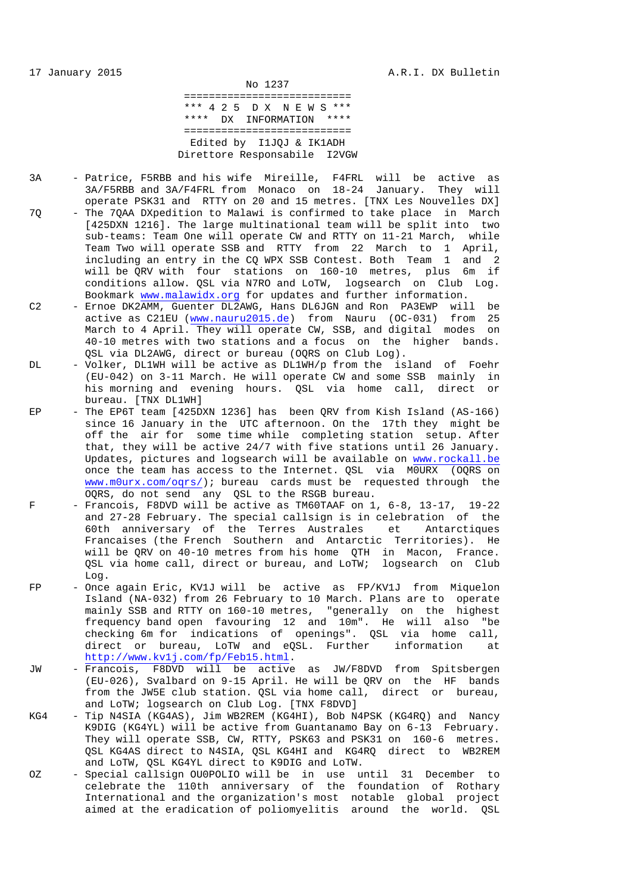No 1237 =========================== \*\*\* 4 2 5 D X N E W S \*\*\* \*\*\*\* DX INFORMATION \*\*\*\* =========================== Edited by I1JQJ & IK1ADH Direttore Responsabile I2VGW

- 3A Patrice, F5RBB and his wife Mireille, F4FRL will be active as 3A/F5RBB and 3A/F4FRL from Monaco on 18-24 January. They will operate PSK31 and RTTY on 20 and 15 metres. [TNX Les Nouvelles DX] 7Q - The 7QAA DXpedition to Malawi is confirmed to take place in March [425DXN 1216]. The large multinational team will be split into two sub-teams: Team One will operate CW and RTTY on 11-21 March, while Team Two will operate SSB and RTTY from 22 March to 1 April, including an entry in the CQ WPX SSB Contest. Both Team 1 and 2 will be QRV with four stations on 160-10 metres, plus 6m if conditions allow. QSL via N7RO and LoTW, logsearch on Club Log. Bookmark www.malawidx.org for updates and further information.
- C2 Ernoe DK2AMM, Guenter DL2AWG, Hans DL6JGN and Ron PA3EWP will be active as C21EU (www.nauru2015.de) from Nauru (OC-031) from 25 March to 4 April. They will operate CW, SSB, and digital modes on 40-10 metres with two stations and a focus on the higher bands. QSL via DL2AWG, direct or bureau (OQRS on Club Log).
- DL Volker, DL1WH will be active as DL1WH/p from the island of Foehr (EU-042) on 3-11 March. He will operate CW and some SSB mainly in his morning and evening hours. QSL via home call, direct or bureau. [TNX DL1WH]
- EP The EP6T team [425DXN 1236] has been QRV from Kish Island (AS-166) since 16 January in the UTC afternoon. On the 17th they might be off the air for some time while completing station setup. After that, they will be active 24/7 with five stations until 26 January. Updates, pictures and logsearch will be available on www.rockall.be once the team has access to the Internet. QSL via M0URX (OQRS on www.m0urx.com/oqrs/); bureau cards must be requested through the OQRS, do not send any QSL to the RSGB bureau.
- $F$  Francois, F8DVD will be active as TM60TAAF on 1, 6-8, 13-17, 19-22 and 27-28 February. The special callsign is in celebration of the 60th anniversary of the Terres Australes et Antarctiques Francaises (the French Southern and Antarctic Territories). He will be QRV on 40-10 metres from his home QTH in Macon, France. QSL via home call, direct or bureau, and LoTW; logsearch on Club Log.
- FP Once again Eric, KV1J will be active as FP/KV1J from Miquelon Island (NA-032) from 26 February to 10 March. Plans are to operate mainly SSB and RTTY on 160-10 metres, "generally on the highest frequency band open favouring 12 and 10m". He will also "be checking 6m for indications of openings". QSL via home call, direct or bureau, LoTW and eQSL. Further information at http://www.kv1j.com/fp/Feb15.html.
- JW Francois, F8DVD will be active as JW/F8DVD from Spitsbergen (EU-026), Svalbard on 9-15 April. He will be QRV on the HF bands from the JW5E club station. QSL via home call, direct or bureau, and LoTW; logsearch on Club Log. [TNX F8DVD]
- KG4 Tip N4SIA (KG4AS), Jim WB2REM (KG4HI), Bob N4PSK (KG4RQ) and Nancy K9DIG (KG4YL) will be active from Guantanamo Bay on 6-13 February. They will operate SSB, CW, RTTY, PSK63 and PSK31 on 160-6 metres. QSL KG4AS direct to N4SIA, QSL KG4HI and KG4RQ direct to WB2REM and LoTW, QSL KG4YL direct to K9DIG and LoTW.
- OZ Special callsign OU0POLIO will be in use until 31 December to celebrate the 110th anniversary of the foundation of Rothary International and the organization's most notable global project aimed at the eradication of poliomyelitis around the world. QSL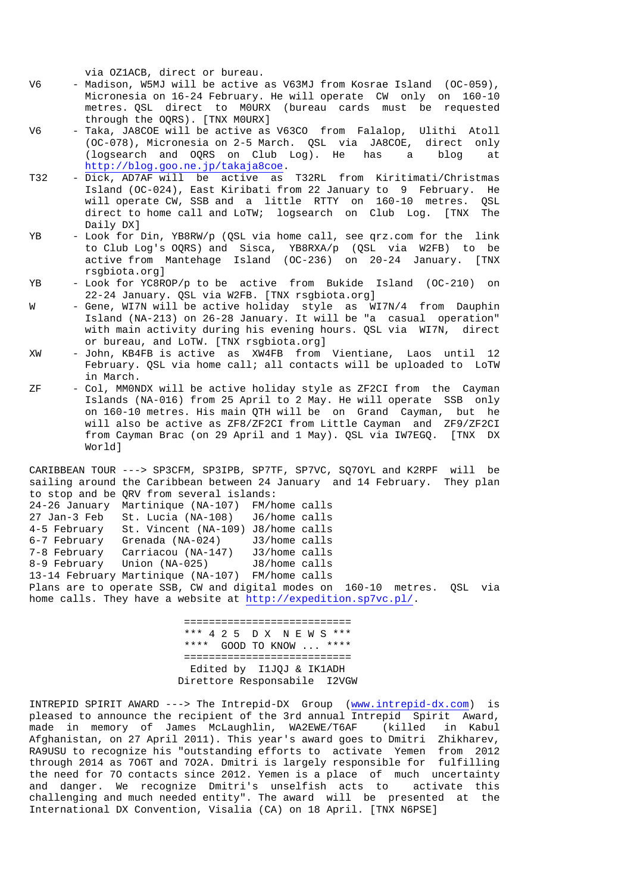via OZ1ACB, direct or bureau.

- V6 Madison, W5MJ will be active as V63MJ from Kosrae Island (OC-059), Micronesia on 16-24 February. He will operate CW only on 160-10 metres. QSL direct to M0URX (bureau cards must be requested through the OQRS). [TNX M0URX]
- V6 Taka, JA8COE will be active as V63CO from Falalop, Ulithi Atoll (OC-078), Micronesia on 2-5 March. QSL via JA8COE, direct only (logsearch and OQRS on Club Log). He has a blog at http://blog.goo.ne.jp/takaja8coe.
- T32 Dick, AD7AF will be active as T32RL from Kiritimati/Christmas Island (OC-024), East Kiribati from 22 January to 9 February. He will operate CW, SSB and a little RTTY on 160-10 metres. QSL direct to home call and LoTW; logsearch on Club Log. [TNX The Daily DX]
- YB Look for Din, YB8RW/p (QSL via home call, see qrz.com for the link to Club Log's OQRS) and Sisca, YB8RXA/p (QSL via W2FB) to be active from Mantehage Island (OC-236) on 20-24 January. [TNX rsgbiota.org]
- YB Look for YC8ROP/p to be active from Bukide Island (OC-210) on 22-24 January. QSL via W2FB. [TNX rsgbiota.org]
- W Gene, WI7N will be active holiday style as WI7N/4 from Dauphin Island (NA-213) on 26-28 January. It will be "a casual operation" with main activity during his evening hours. QSL via WI7N, direct or bureau, and LoTW. [TNX rsgbiota.org]
- XW John, KB4FB is active as XW4FB from Vientiane, Laos until 12 February. QSL via home call; all contacts will be uploaded to LoTW in March.
- ZF Col, MM0NDX will be active holiday style as ZF2CI from the Cayman Islands (NA-016) from 25 April to 2 May. He will operate SSB only on 160-10 metres. His main QTH will be on Grand Cayman, but he will also be active as ZF8/ZF2CI from Little Cayman and ZF9/ZF2CI from Cayman Brac (on 29 April and 1 May). QSL via IW7EGQ. [TNX DX World]

CARIBBEAN TOUR ---> SP3CFM, SP3IPB, SP7TF, SP7VC, SQ7OYL and K2RPF will be sailing around the Caribbean between 24 January and 14 February. They plan to stop and be QRV from several islands: 24-26 January Martinique (NA-107) FM/home calls 27 Jan-3 Feb St. Lucia (NA-108) J6/home calls 4-5 February St. Vincent (NA-109) J8/home calls 6-7 February Grenada (NA-024) J3/home calls 7-8 February Carriacou (NA-147) J3/home calls 8-9 February Union (NA-025) J8/home calls 13-14 February Martinique (NA-107) FM/home calls Plans are to operate SSB, CW and digital modes on 160-10 metres. QSL via home calls. They have a website at http://expedition.sp7vc.pl/.

> =========================== \*\*\* 4 2 5 D X N E W S \*\*\* \*\*\*\* GOOD TO KNOW ... \*\*\*\* =========================== Edited by I1JQJ & IK1ADH Direttore Responsabile I2VGW

INTREPID SPIRIT AWARD ---> The Intrepid-DX Group (www.intrepid-dx.com) is pleased to announce the recipient of the 3rd annual Intrepid Spirit Award, made in memory of James McLaughlin, WA2EWE/T6AF (killed in Kabul Afghanistan, on 27 April 2011). This year's award goes to Dmitri Zhikharev, RA9USU to recognize his "outstanding efforts to activate Yemen from 2012 through 2014 as 7O6T and 7O2A. Dmitri is largely responsible for fulfilling the need for 7O contacts since 2012. Yemen is a place of much uncertainty and danger. We recognize Dmitri's unselfish acts to activate this challenging and much needed entity". The award will be presented at the International DX Convention, Visalia (CA) on 18 April. [TNX N6PSE]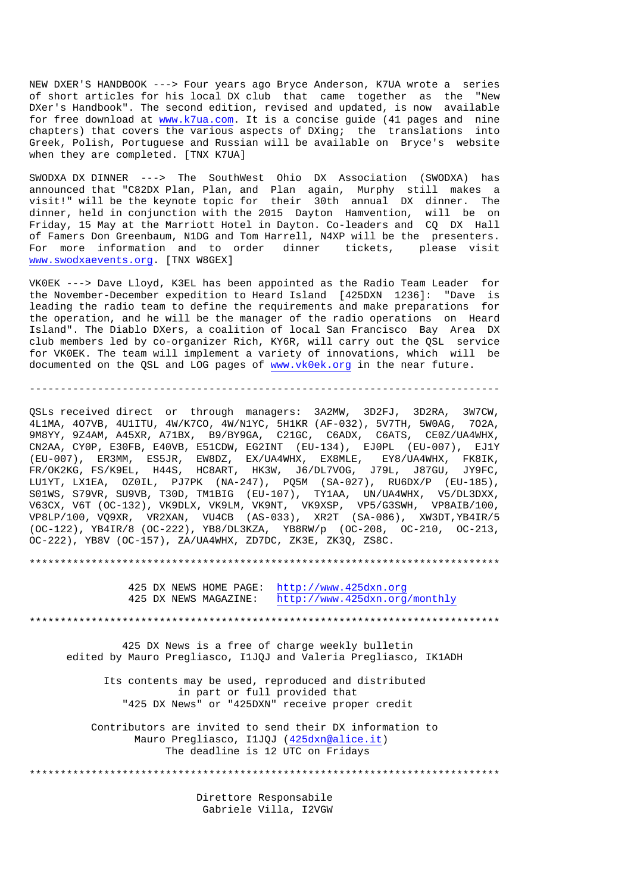NEW DXER'S HANDBOOK ---> Four years ago Bryce Anderson, K7UA wrote a series of short articles for his local DX club that came together as the "New DXer's Handbook". The second edition, revised and updated, is now available for free download at www.k7ua.com. It is a concise guide (41 pages and nine chapters) that covers the various aspects of DXing; the translations into Greek, Polish, Portuguese and Russian will be available on Bryce's website when they are completed. [TNX K7UA]

SWODXA DX DINNER ---> The SouthWest Ohio DX Association (SWODXA) has announced that "C82DX Plan, Plan, and Plan again, Murphy still makes a visit!" will be the keynote topic for their 30th annual DX dinner. The dinner, held in conjunction with the 2015 Dayton Hamvention, will be on Friday, 15 May at the Marriott Hotel in Dayton. Co-leaders and CQ DX Hall of Famers Don Greenbaum, N1DG and Tom Harrell, N4XP will be the presenters. For more information and to order dinner tickets, please visit www.swodxaevents.org. [TNX W8GEX]

VK0EK ---> Dave Lloyd, K3EL has been appointed as the Radio Team Leader for the November-December expedition to Heard Island [425DXN 1236]: "Dave is leading the radio team to define the requirements and make preparations for the operation, and he will be the manager of the radio operations on Heard Island". The Diablo DXers, a coalition of local San Francisco Bay Area DX club members led by co-organizer Rich, KY6R, will carry out the QSL service for VK0EK. The team will implement a variety of innovations, which will be documented on the QSL and LOG pages of www.vk0ek.org in the near future.

----------------------------------------------------------------------------

QSLs received direct or through managers: 3A2MW, 3D2FJ, 3D2RA, 3W7CW, 4L1MA, 4O7VB, 4U1ITU, 4W/K7CO, 4W/N1YC, 5H1KR (AF-032), 5V7TH, 5W0AG, 7O2A, 9M8YY, 9Z4AM, A45XR, A71BX, B9/BY9GA, C21GC, C6ADX, C6ATS, CE0Z/UA4WHX, CN2AA, CY0P, E30FB, E40VB, E51CDW, EG2INT (EU-134), EJ0PL (EU-007), EJ1Y (EU-007), ER3MM, ES5JR, EW8DZ, EX/UA4WHX, EX8MLE, EY8/UA4WHX, FK8IK, FR/OK2KG, FS/K9EL, H44S, HC8ART, HK3W, J6/DL7VOG, J79L, J87GU, JY9FC, LU1YT, LX1EA, OZ0IL, PJ7PK (NA-247), PQ5M (SA-027), RU6DX/P (EU-185), S01WS, S79VR, SU9VB, T30D, TM1BIG (EU-107), TY1AA, UN/UA4WHX, V5/DL3DXX, V63CX, V6T (OC-132), VK9DLX, VK9LM, VK9NT, VK9XSP, VP5/G3SWH, VP8AIB/100, VP8LP/100, VQ9XR, VR2XAN, VU4CB (AS-033), XR2T (SA-086), XW3DT,YB4IR/5 (OC-122), YB4IR/8 (OC-222), YB8/DL3KZA, YB8RW/p (OC-208, OC-210, OC-213, OC-222), YB8V (OC-157), ZA/UA4WHX, ZD7DC, ZK3E, ZK3Q, ZS8C.

\*\*\*\*\*\*\*\*\*\*\*\*\*\*\*\*\*\*\*\*\*\*\*\*\*\*\*\*\*\*\*\*\*\*\*\*\*\*\*\*\*\*\*\*\*\*\*\*\*\*\*\*\*\*\*\*\*\*\*\*\*\*\*\*\*\*\*\*\*\*\*\*\*\*\*\*

 425 DX NEWS HOME PAGE: http://www.425dxn.org 425 DX NEWS MAGAZINE: http://www.425dxn.org/monthly

\*\*\*\*\*\*\*\*\*\*\*\*\*\*\*\*\*\*\*\*\*\*\*\*\*\*\*\*\*\*\*\*\*\*\*\*\*\*\*\*\*\*\*\*\*\*\*\*\*\*\*\*\*\*\*\*\*\*\*\*\*\*\*\*\*\*\*\*\*\*\*\*\*\*\*\*

 425 DX News is a free of charge weekly bulletin edited by Mauro Pregliasco, I1JQJ and Valeria Pregliasco, IK1ADH

 Its contents may be used, reproduced and distributed in part or full provided that "425 DX News" or "425DXN" receive proper credit

 Contributors are invited to send their DX information to Mauro Pregliasco, I1JQJ (425dxn@alice.it) The deadline is 12 UTC on Fridays

\*\*\*\*\*\*\*\*\*\*\*\*\*\*\*\*\*\*\*\*\*\*\*\*\*\*\*\*\*\*\*\*\*\*\*\*\*\*\*\*\*\*\*\*\*\*\*\*\*\*\*\*\*\*\*\*\*\*\*\*\*\*\*\*\*\*\*\*\*\*\*\*\*\*\*\*

 Direttore Responsabile Gabriele Villa, I2VGW